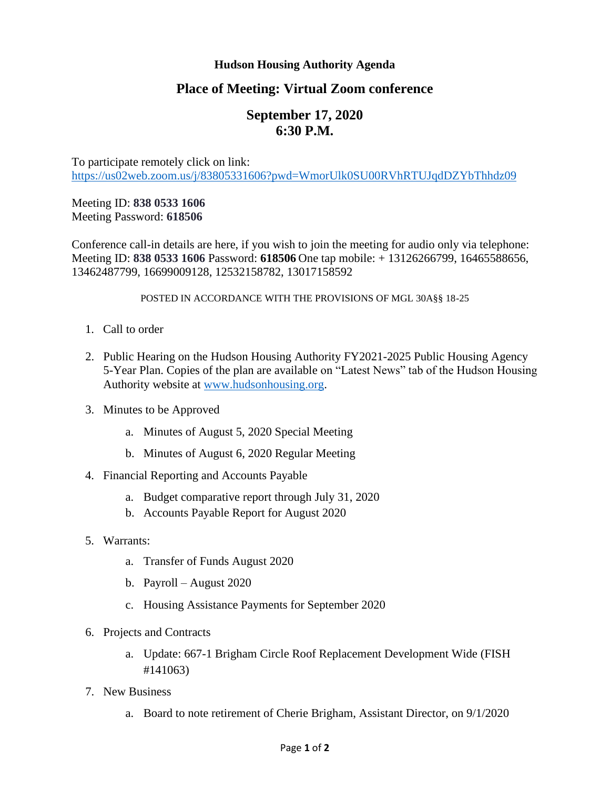## **Hudson Housing Authority Agenda**

## **Place of Meeting: Virtual Zoom conference**

# **September 17, 2020 6:30 P.M.**

To participate remotely click on link: <https://us02web.zoom.us/j/83805331606?pwd=WmorUlk0SU00RVhRTUJqdDZYbThhdz09>

## Meeting ID: **838 0533 1606** Meeting Password: **618506**

Conference call-in details are here, if you wish to join the meeting for audio only via telephone: Meeting ID: **838 0533 1606** Password: **618506** One tap mobile: + 13126266799, 16465588656, 13462487799, 16699009128, 12532158782, 13017158592

#### POSTED IN ACCORDANCE WITH THE PROVISIONS OF MGL 30A§§ 18-25

- 1. Call to order
- 2. Public Hearing on the Hudson Housing Authority FY2021-2025 Public Housing Agency 5-Year Plan. Copies of the plan are available on "Latest News" tab of the Hudson Housing Authority website at [www.hudsonhousing.org.](http://www.hudsonhousing.org/)
- 3. Minutes to be Approved
	- a. Minutes of August 5, 2020 Special Meeting
	- b. Minutes of August 6, 2020 Regular Meeting
- 4. Financial Reporting and Accounts Payable
	- a. Budget comparative report through July 31, 2020
	- b. Accounts Payable Report for August 2020
- 5. Warrants:
	- a. Transfer of Funds August 2020
	- b. Payroll August 2020
	- c. Housing Assistance Payments for September 2020
- 6. Projects and Contracts
	- a. Update: 667-1 Brigham Circle Roof Replacement Development Wide (FISH #141063)
- 7. New Business
	- a. Board to note retirement of Cherie Brigham, Assistant Director, on 9/1/2020